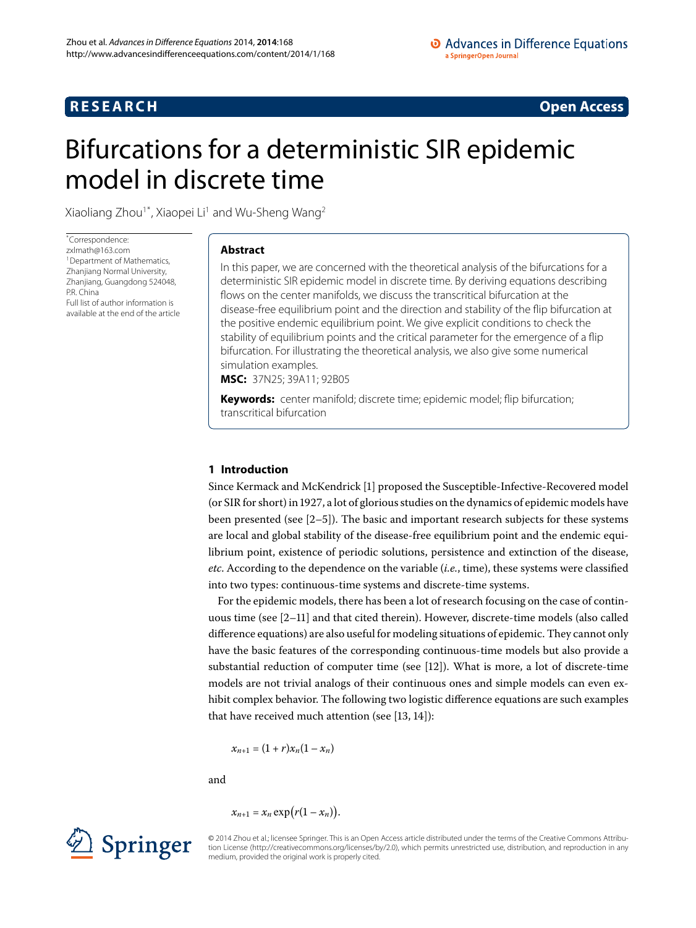# **RESEARCH CONSTRUCTED ACCESS**

# <span id="page-0-0"></span>Bifurcations for a deterministic SIR epidemic model in discrete time

Xiaoliang Zhou<sup>1[\\*](#page-0-0)</sup>, Xiaopei Li<sup>[1](#page-14-0)</sup> and Wu-Sheng Wang<sup>2</sup>

\* Correspondence: [zxlmath@163.com](mailto:zxlmath@163.com) <sup>1</sup> Department of Mathematics, Zhanjiang Normal University, Zhanjiang, Guangdong 524048, P.R. China Full list of author information is available at the end of the article

# **Abstract**

In this paper, we are concerned with the theoretical analysis of the bifurcations for a deterministic SIR epidemic model in discrete time. By deriving equations describing flows on the center manifolds, we discuss the transcritical bifurcation at the disease-free equilibrium point and the direction and stability of the flip bifurcation at the positive endemic equilibrium point. We give explicit conditions to check the stability of equilibrium points and the critical parameter for the emergence of a flip bifurcation. For illustrating the theoretical analysis, we also give some numerical simulation examples.

**MSC:** 37N25; 39A11; 92B05

**Keywords:** center manifold; discrete time; epidemic model; flip bifurcation; transcritical bifurcation

# **1 Introduction**

Since Kermack and McKendrick [\[](#page-15-0)] proposed the Susceptible-Infective-Recovered model (or SIR for short) in 1927, a lot of glorious studies on the dynamics of epidemic models have been presented (see  $[2-5]$  $[2-5]$  $[2-5]$ ). The basic and important research subjects for these systems are local and global stability of the disease-free equilibrium point and the endemic equilibrium point, existence of periodic solutions, persistence and extinction of the disease, *etc*. According to the dependence on the variable (*i.e.*, time), these systems were classified into two types: continuous-time systems and discrete-time systems.

For the epidemic models, there has been a lot of research focusing on the case of contin-uous time (see [2-11[\]](#page-15-3) and that cited therein). However, discrete-time models (also called difference equations) are also useful for modeling situations of epidemic. They cannot only have the basic features of the corresponding continuous-time models but also provide a substantial reduction of computer time (see  $[12]$  $[12]$ ). What is more, a lot of discrete-time models are not trivial analogs of their continuous ones and simple models can even exhibit complex behavior. The following two logistic difference equations are such examples that have received much attention (see  $[13, 14]$  $[13, 14]$  $[13, 14]$ ):

 $x_{n+1} = (1+r)x_n(1-x_n)$ 

and

$$
x_{n+1} = x_n \exp(r(1-x_n)).
$$



© 2014 Zhou et al.; licensee Springer. This is an Open Access article distributed under the terms of the Creative Commons Attribution License ([http://creativecommons.org/licenses/by/2.0\)](http://creativecommons.org/licenses/by/2.0), which permits unrestricted use, distribution, and reproduction in any medium, provided the original work is properly cited.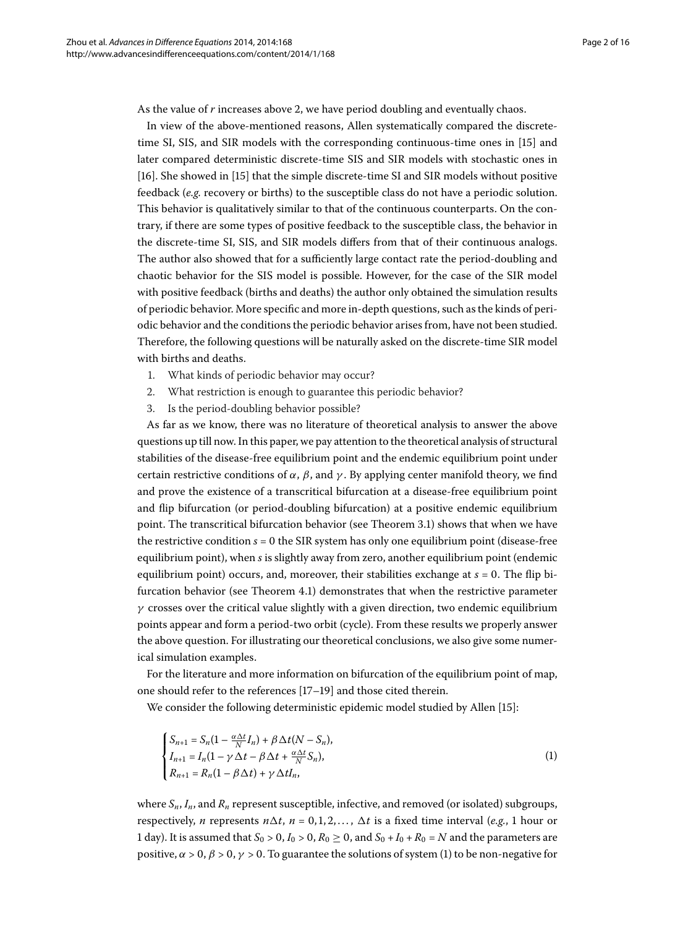As the value of *r* increases above 2, we have period doubling and eventually chaos.

In view of the above-mentioned reasons, Allen systematically compared the discrete-time SI, SIS, and SIR models with the corresponding continuous-time ones in [15[\]](#page-15-7) and later compared deterministic discrete-time SIS and SIR models with stochastic ones in [16[\]](#page-15-8). She showed in [\[](#page-15-7)15] that the simple discrete-time SI and SIR models without positive feedback (*e.g.* recovery or births) to the susceptible class do not have a periodic solution. This behavior is qualitatively similar to that of the continuous counterparts. On the contrary, if there are some types of positive feedback to the susceptible class, the behavior in the discrete-time SI, SIS, and SIR models differs from that of their continuous analogs. The author also showed that for a sufficiently large contact rate the period-doubling and chaotic behavior for the SIS model is possible. However, for the case of the SIR model with positive feedback (births and deaths) the author only obtained the simulation results of periodic behavior. More specific and more in-depth questions, such as the kinds of periodic behavior and the conditions the periodic behavior arises from, have not been studied. Therefore, the following questions will be naturally asked on the discrete-time SIR model with births and deaths.

- . What kinds of periodic behavior may occur?
- . What restriction is enough to guarantee this periodic behavior?
- . Is the period-doubling behavior possible?

As far as we know, there was no literature of theoretical analysis to answer the above questions up till now. In this paper, we pay attention to the theoretical analysis of structural stabilities of the disease-free equilibrium point and the endemic equilibrium point under certain restrictive conditions of  $\alpha$ ,  $\beta$ , and  $\gamma$ . By applying center manifold theory, we find and prove the existence of a transcritical bifurcation at a disease-free equilibrium point and flip bifurcation (or period-doubling bifurcation) at a positive endemic equilibrium point. The transcritical bifurcation behavior (see Theorem 3.1) shows that when we have the restrictive condition  $s = 0$  the SIR system has only one equilibrium point (disease-free equilibrium point), when *s* is slightly away from zero, another equilibrium point (endemic equilibrium point) occurs, and, moreover, their stabilities exchange at  $s = 0$ . The flip bi-furcation behavior (see Theorem 4[.](#page-9-0)1) demonstrates that when the restrictive parameter *γ* crosses over the critical value slightly with a given direction, two endemic equilibrium points appear and form a period-two orbit (cycle). From these results we properly answer the above question. For illustrating our theoretical conclusions, we also give some numerical simulation examples.

For the literature and more information on bifurcation of the equilibrium point of map, one should refer to the references  $[17-19]$  $[17-19]$  and those cited therein.

We consider the following deterministic epidemic model studied by Allen [15[\]](#page-15-7):

<span id="page-1-0"></span>
$$
\begin{cases}\nS_{n+1} = S_n(1 - \frac{\alpha \Delta t}{N} I_n) + \beta \Delta t (N - S_n), \\
I_{n+1} = I_n(1 - \gamma \Delta t - \beta \Delta t + \frac{\alpha \Delta t}{N} S_n), \\
R_{n+1} = R_n(1 - \beta \Delta t) + \gamma \Delta t I_n,\n\end{cases}
$$
\n(1)

where *Sn*, *In*, and *Rn* represent susceptible, infective, and removed (or isolated) subgroups, respectively, *n* represents  $n\Delta t$ ,  $n = 0, 1, 2, \dots$ ,  $\Delta t$  is a fixed time interval (*e.g.*, 1 hour or 1 day). It is assumed that  $S_0 > 0$ ,  $I_0 > 0$ ,  $R_0 \ge 0$ , and  $S_0 + I_0 + R_0 = N$  and the parameters are positive,  $\alpha > 0$ ,  $\beta > 0$ ,  $\gamma > 0$ . To guarantee the solutions of system (1[\)](#page-1-0) to be non-negative for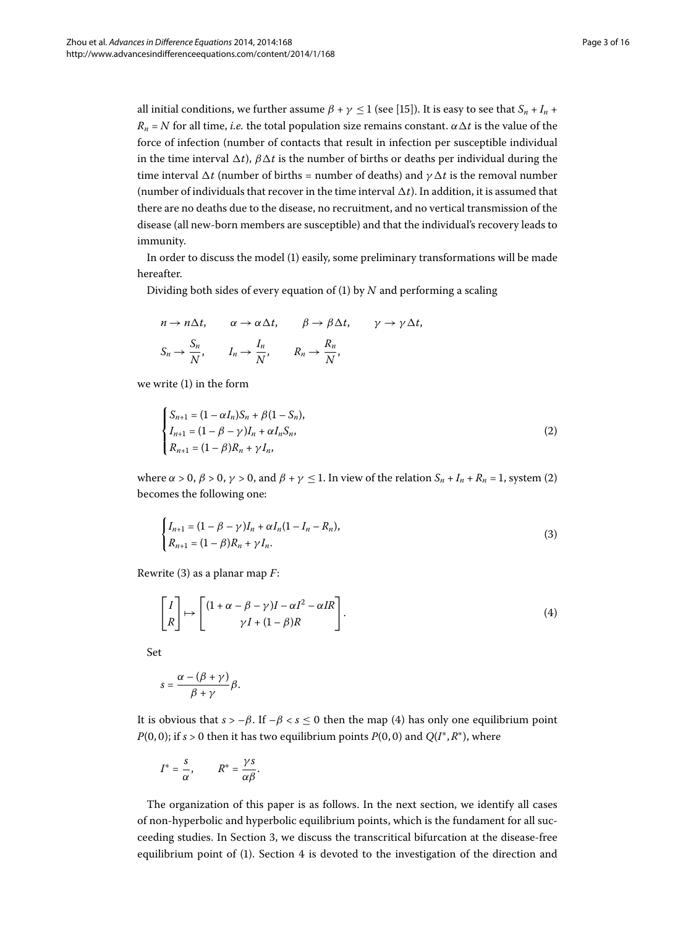all initial conditions, we further assume  $\beta + \gamma \leq 1$  (see [\[](#page-15-7)15]). It is easy to see that  $S_n + I_n$  +  $R_n = N$  for all time, *i.e.* the total population size remains constant.  $\alpha \Delta t$  is the value of the force of infection (number of contacts that result in infection per susceptible individual in the time interval  $\Delta t$ ),  $\beta \Delta t$  is the number of births or deaths per individual during the time interval  $\Delta t$  (number of births = number of deaths) and  $\gamma \Delta t$  is the removal number (number of individuals that recover in the time interval  $\Delta t$ ). In addition, it is assumed that there are no deaths due to the disease, no recruitment, and no vertical transmission of the disease (all new-born members are susceptible) and that the individual's recovery leads to immunity.

In order to discuss the model (1) easily, some preliminary transformations will be made hereafter.

Dividing both sides of every equation of (1) by  $N$  and performing a scaling

<span id="page-2-0"></span>
$$
n \to n\Delta t, \qquad \alpha \to \alpha \Delta t, \qquad \beta \to \beta \Delta t, \qquad \gamma \to \gamma \Delta t,
$$
  

$$
S_n \to \frac{S_n}{N}, \qquad I_n \to \frac{I_n}{N}, \qquad R_n \to \frac{R_n}{N},
$$

we write  $(1)$  $(1)$  in the form

<span id="page-2-1"></span>
$$
\begin{cases}\nS_{n+1} = (1 - \alpha I_n)S_n + \beta(1 - S_n), \\
I_{n+1} = (1 - \beta - \gamma)I_n + \alpha I_n S_n, \\
R_{n+1} = (1 - \beta)R_n + \gamma I_n,\n\end{cases}
$$
\n(2)

where  $\alpha > 0$ ,  $\beta > 0$ ,  $\gamma > 0$ , and  $\beta + \gamma \leq 1$ . In view of the relation  $S_n + I_n + R_n = 1$ , system [\(](#page-2-0)2) becomes the following one:

<span id="page-2-2"></span>
$$
\begin{cases}\nI_{n+1} = (1 - \beta - \gamma)I_n + \alpha I_n (1 - I_n - R_n), \\
R_{n+1} = (1 - \beta)R_n + \gamma I_n.\n\end{cases}
$$
\n(3)

Rewrite (3[\)](#page-2-1) as a planar map *F*:

$$
\begin{bmatrix} I \\ R \end{bmatrix} \mapsto \begin{bmatrix} (1 + \alpha - \beta - \gamma)I - \alpha I^2 - \alpha IR \\ \gamma I + (1 - \beta)R \end{bmatrix}.
$$
 (4)

Set

$$
s=\frac{\alpha-(\beta+\gamma)}{\beta+\gamma}\beta.
$$

It is obvious that  $s > -\beta$ . If  $-\beta < s \le 0$  then the map (4) has only one equilibrium point *P*(0,0); if *s* > 0 then it has two equilibrium points *P*(0,0) and *Q*( $I^*$ , $R^*$ ), where

$$
I^* = \frac{s}{\alpha}, \qquad R^* = \frac{\gamma s}{\alpha \beta}.
$$

The organization of this paper is as follows. In the next section, we identify all cases of non-hyperbolic and hyperbolic equilibrium points, which is the fundament for all suc-ceeding studies. In Section 3[,](#page-6-1) we discuss the transcritical bifurcation at the disease-free equilibrium point of (1[\)](#page-1-0). Section 4 is devoted to the investigation of the direction and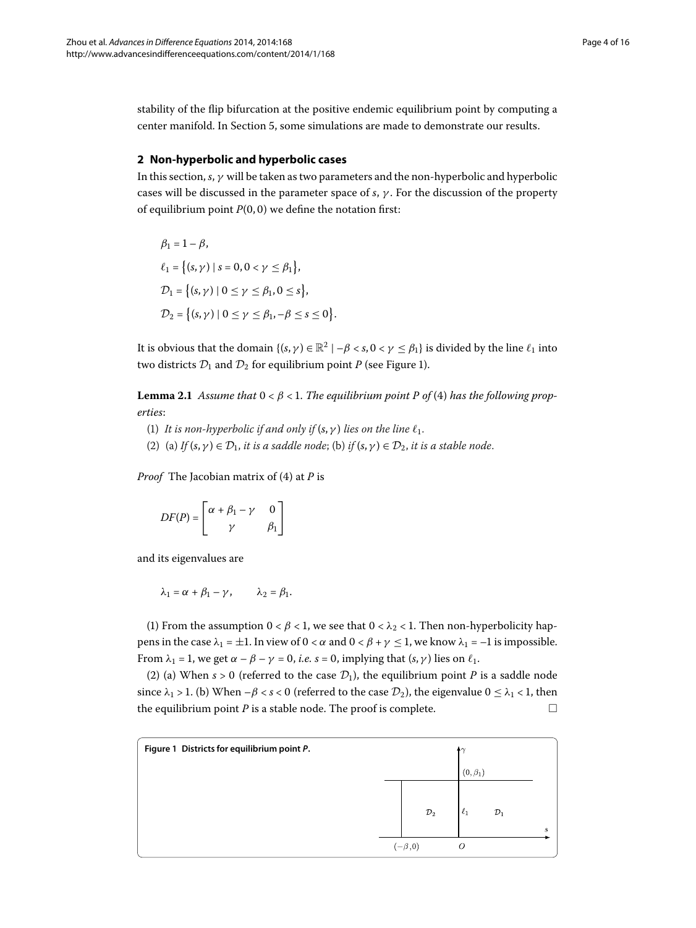<span id="page-3-1"></span>stability of the flip bifurcation at the positive endemic equilibrium point by computing a center manifold. In Section 5, some simulations are made to demonstrate our results.

# **2 Non-hyperbolic and hyperbolic cases**

In this section, *s*, *γ* will be taken as two parameters and the non-hyperbolic and hyperbolic cases will be discussed in the parameter space of *s*, *γ* . For the discussion of the property of equilibrium point  $P(0, 0)$  we define the notation first:

$$
\beta_1 = 1 - \beta,
$$
  
\n
$$
\ell_1 = \{(s, \gamma) \mid s = 0, 0 < \gamma \le \beta_1\},\
$$
  
\n
$$
\mathcal{D}_1 = \{(s, \gamma) \mid 0 \le \gamma \le \beta_1, 0 \le s\},\
$$
  
\n
$$
\mathcal{D}_2 = \{(s, \gamma) \mid 0 \le \gamma \le \beta_1, -\beta \le s \le 0\}
$$

It is obvious that the domain  $\{(s, \gamma) \in \mathbb{R}^2 \mid -\beta < s, 0 < \gamma \le \beta_1\}$  is divided by the line  $\ell_1$  into two districts  $\mathcal{D}_1$  and  $\mathcal{D}_2$  for equilibrium point *P* (see Figure 1[\)](#page-3-0).

.

**Lemma 2.1** Assume that  $0 < \beta < 1$ . The equilibrium point P of (4) has the following prop*erties*:

- (1) It is non-hyperbolic if and only if  $(s, \gamma)$  lies on the line  $\ell_1$ .
- (2) (a) *If*  $(s, \gamma) \in \mathcal{D}_1$ , *it is a saddle node*; (b) *if*  $(s, \gamma) \in \mathcal{D}_2$ , *it is a stable node*.

*Proof* The Jacobian matrix of (4) at *P* is

$$
DF(P) = \begin{bmatrix} \alpha + \beta_1 - \gamma & 0 \\ \gamma & \beta_1 \end{bmatrix}
$$

and its eigenvalues are

$$
\lambda_1 = \alpha + \beta_1 - \gamma, \qquad \lambda_2 = \beta_1.
$$

(1) From the assumption  $0 < \beta < 1$ , we see that  $0 < \lambda_2 < 1$ . Then non-hyperbolicity happens in the case  $\lambda_1 = \pm 1$ . In view of  $0 < \alpha$  and  $0 < \beta + \gamma \leq 1$ , we know  $\lambda_1 = -1$  is impossible. From  $\lambda_1 = 1$ , we get  $\alpha - \beta - \gamma = 0$ , *i.e.*  $s = 0$ , implying that  $(s, \gamma)$  lies on  $\ell_1$ .

<span id="page-3-0"></span>(2) (a) When  $s > 0$  (referred to the case  $\mathcal{D}_1$ ), the equilibrium point *P* is a saddle node since  $\lambda_1 > 1$ . (b) When  $-\beta < s < 0$  (referred to the case  $\mathcal{D}_2$ ), the eigenvalue  $0 \leq \lambda_1 < 1$ , then the equilibrium point  $P$  is a stable node. The proof is complete.  $\Box$ 

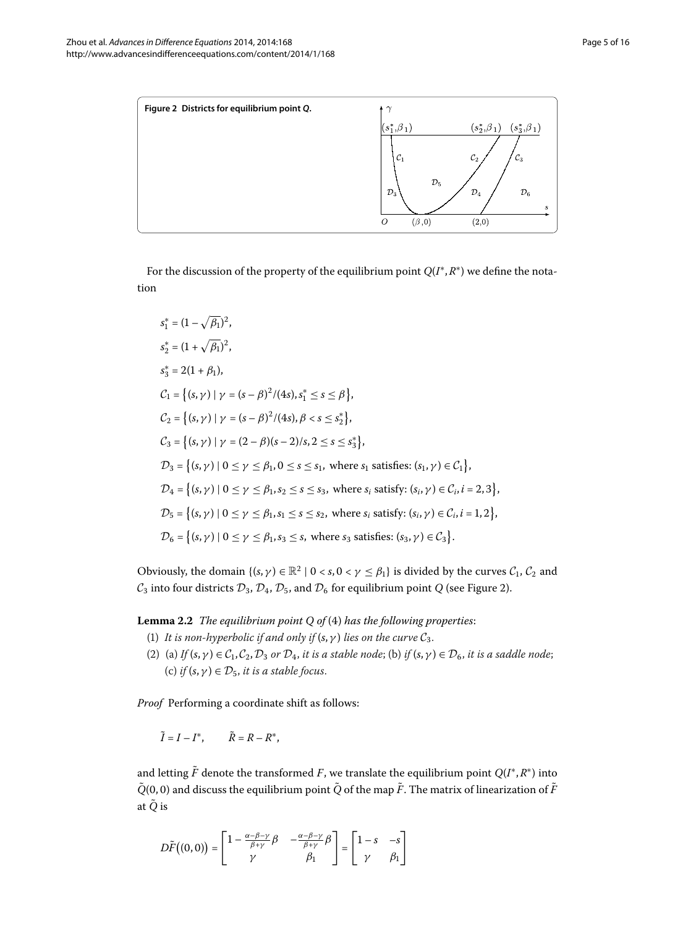<span id="page-4-0"></span>

For the discussion of the property of the equilibrium point *Q*(*I*∗,*R*∗) we define the notation

$$
s_1^* = (1 - \sqrt{\beta_1})^2,
$$
  
\n
$$
s_2^* = (1 + \sqrt{\beta_1})^2,
$$
  
\n
$$
s_3^* = 2(1 + \beta_1),
$$
  
\n
$$
C_1 = \{(s, \gamma) | \gamma = (s - \beta)^2/(4s), s_1^* \le s \le \beta\},
$$
  
\n
$$
C_2 = \{(s, \gamma) | \gamma = (s - \beta)^2/(4s), \beta < s \le s_2^*\},
$$
  
\n
$$
C_3 = \{(s, \gamma) | \gamma = (2 - \beta)(s - 2)/s, 2 \le s \le s_3^*\},
$$
  
\n
$$
D_3 = \{(s, \gamma) | 0 \le \gamma \le \beta_1, 0 \le s \le s_1, \text{ where } s_1 \text{ satisfies: } (s_1, \gamma) \in C_1\},
$$
  
\n
$$
D_4 = \{(s, \gamma) | 0 \le \gamma \le \beta_1, s_2 \le s \le s_3, \text{ where } s_i \text{ satisfy: } (s_i, \gamma) \in C_i, i = 2, 3\},
$$
  
\n
$$
D_5 = \{(s, \gamma) | 0 \le \gamma \le \beta_1, s_1 \le s \le s_2, \text{ where } s_i \text{ satisfy: } (s_i, \gamma) \in C_i, i = 1, 2\},
$$
  
\n
$$
D_6 = \{(s, \gamma) | 0 \le \gamma \le \beta_1, s_3 \le s, \text{ where } s_3 \text{ satisfies: } (s_3, \gamma) \in C_3\}.
$$

<span id="page-4-1"></span>Obviously, the domain  $\{(s, \gamma) \in \mathbb{R}^2 \mid 0 < s, 0 < \gamma \leq \beta_1\}$  is divided by the curves  $\mathcal{C}_1$ ,  $\mathcal{C}_2$  and  $C_3$  into four districts  $\mathcal{D}_3$ ,  $\mathcal{D}_4$ ,  $\mathcal{D}_5$ , and  $\mathcal{D}_6$  for equilibrium point *Q* (see Figure 2).

**Lemma 2.2** *The equilibrium point Q of (4) has the following properties:* 

- (1) *It is non-hyperbolic if and only if*  $(s, \gamma)$  *lies on the curve*  $C_3$ *.*
- (2) (a) *If*  $(s, \gamma) \in C_1, C_2, D_3$  *or*  $D_4$ *, it is a stable node*; (b) *if*  $(s, \gamma) \in D_6$ *, it is a saddle node*; (c) *if*  $(s, \gamma) \in \mathcal{D}_5$ , *it is a stable focus*.

*Proof* Performing a coordinate shift as follows:

$$
\tilde{I}=I-I^*,\qquad \tilde{R}=R-R^*,
$$

and letting  $\tilde{F}$  denote the transformed *F*, we translate the equilibrium point  $Q(I^*, R^*)$  into  $\tilde{Q}(0,0)$  and discuss the equilibrium point  $\tilde{Q}$  of the map  $\tilde{F}$ . The matrix of linearization of  $\tilde{F}$ at *Q*˜ is

$$
D\tilde{F}((0,0)) = \begin{bmatrix} 1 - \frac{\alpha - \beta - \gamma}{\beta + \gamma} \beta & -\frac{\alpha - \beta - \gamma}{\beta + \gamma} \beta \\ \gamma & \beta_1 \end{bmatrix} = \begin{bmatrix} 1 - s & -s \\ \gamma & \beta_1 \end{bmatrix}
$$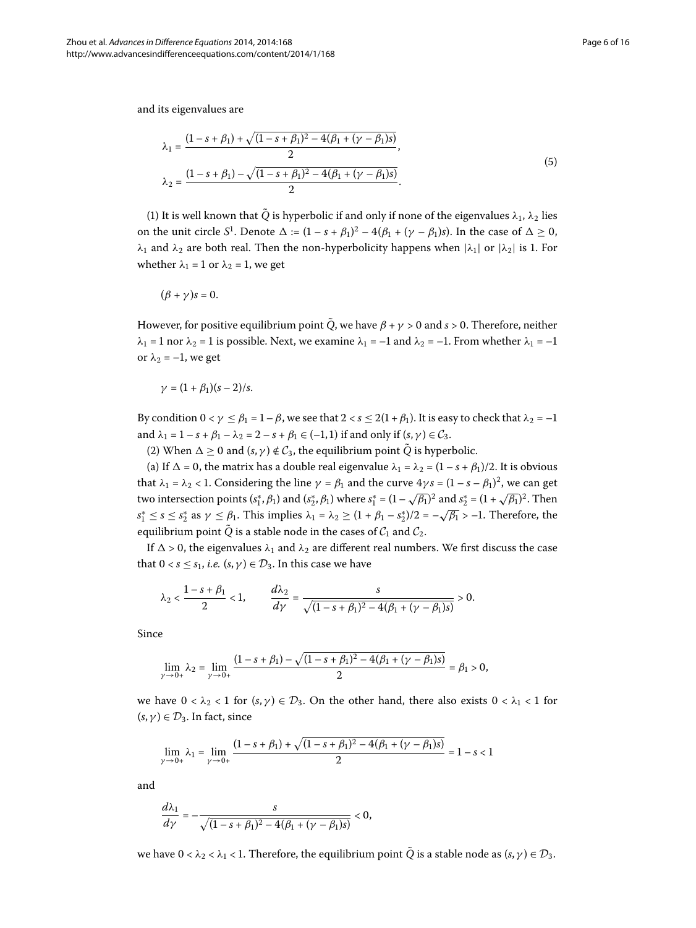and its eigenvalues are

$$
\lambda_1 = \frac{(1 - s + \beta_1) + \sqrt{(1 - s + \beta_1)^2 - 4(\beta_1 + (\gamma - \beta_1)s)}}{2},
$$
  
\n
$$
\lambda_2 = \frac{(1 - s + \beta_1) - \sqrt{(1 - s + \beta_1)^2 - 4(\beta_1 + (\gamma - \beta_1)s)}}{2}.
$$
\n(5)

(1) It is well known that  $\tilde{Q}$  is hyperbolic if and only if none of the eigenvalues  $\lambda_1$ ,  $\lambda_2$  lies on the unit circle *S*<sup>1</sup>. Denote  $\Delta := (1 - s + \beta_1)^2 - 4(\beta_1 + (\gamma - \beta_1)s)$ . In the case of  $\Delta \ge 0$ , *λ*<sub>1</sub> and *λ*<sub>2</sub> are both real. Then the non-hyperbolicity happens when  $|λ_1|$  or  $|λ_2|$  is 1. For whether  $\lambda_1 = 1$  or  $\lambda_2 = 1$ , we get

$$
(\beta+\gamma)s=0.
$$

However, for positive equilibrium point  $\tilde{Q}$ , we have  $\beta + \gamma > 0$  and  $s > 0$ . Therefore, neither *λ*<sub>1</sub> = 1 nor *λ*<sub>2</sub> = 1 is possible. Next, we examine *λ*<sub>1</sub> = –1 and *λ*<sub>2</sub> = –1. From whether *λ*<sub>1</sub> = –1 or  $\lambda_2 = -1$ , we get

$$
\gamma=(1+\beta_1)(s-2)/s.
$$

By condition  $0 < \gamma \leq \beta_1 = 1 - \beta$ , we see that  $2 < s \leq 2(1 + \beta_1)$ . It is easy to check that  $\lambda_2 = -1$ and  $\lambda_1 = 1 - s + \beta_1 - \lambda_2 = 2 - s + \beta_1 \in (-1, 1)$  if and only if  $(s, \gamma) \in C_3$ .

(2) When  $\Delta \geq 0$  and  $(s, \gamma) \notin C_3$ , the equilibrium point  $\tilde{Q}$  is hyperbolic.

(a) If  $\Delta = 0$ , the matrix has a double real eigenvalue  $\lambda_1 = \lambda_2 = (1 - s + \beta_1)/2$ . It is obvious that  $\lambda_1 = \lambda_2 < 1$ . Considering the line  $\gamma = \beta_1$  and the curve  $4\gamma s = (1 - s - \beta_1)^2$ , we can get two intersection points  $(s_1^*, \beta_1)$  and  $(s_2^*, \beta_1)$  where  $s_1^* = (1 - \sqrt{\beta_1})^2$  and  $s_2^* = (1 + \sqrt{\beta_1})^2$ . Then  $s_1^* \leq s \leq s_2^*$  as  $\gamma \leq \beta_1$ . This implies  $\lambda_1 = \lambda_2 \geq (1 + \beta_1 - s_2^*)/2 = -\sqrt{\beta_1} > -1$ . Therefore, the equilibrium point  $\tilde{Q}$  is a stable node in the cases of  $C_1$  and  $C_2$ .

If  $\Delta > 0$ , the eigenvalues  $\lambda_1$  and  $\lambda_2$  are different real numbers. We first discuss the case that  $0 < s \leq s_1$ , *i.e.*  $(s, \gamma) \in \mathcal{D}_3$ . In this case we have

$$
\lambda_2 < \frac{1-s+\beta_1}{2} < 1, \qquad \frac{d\lambda_2}{d\gamma} = \frac{s}{\sqrt{(1-s+\beta_1)^2 - 4(\beta_1 + (\gamma - \beta_1)s)}} > 0.
$$

Since

$$
\lim_{\gamma \to 0+} \lambda_2 = \lim_{\gamma \to 0+} \frac{(1-s+\beta_1) - \sqrt{(1-s+\beta_1)^2 - 4(\beta_1 + (\gamma - \beta_1)s)}}{2} = \beta_1 > 0,
$$

we have  $0 < \lambda_2 < 1$  for  $(s, \gamma) \in \mathcal{D}_3$ . On the other hand, there also exists  $0 < \lambda_1 < 1$  for  $(s, \gamma) \in \mathcal{D}_3$ . In fact, since

$$
\lim_{\gamma \to 0+} \lambda_1 = \lim_{\gamma \to 0+} \frac{(1 - s + \beta_1) + \sqrt{(1 - s + \beta_1)^2 - 4(\beta_1 + (\gamma - \beta_1)s)}}{2} = 1 - s < 1
$$

and

$$
\frac{d\lambda_1}{d\gamma} = -\frac{s}{\sqrt{(1-s+\beta_1)^2 - 4(\beta_1 + (\gamma - \beta_1)s)}} < 0,
$$

we have  $0 < \lambda_2 < \lambda_1 < 1$ . Therefore, the equilibrium point  $\tilde{Q}$  is a stable node as  $(s, \gamma) \in \mathcal{D}_3$ .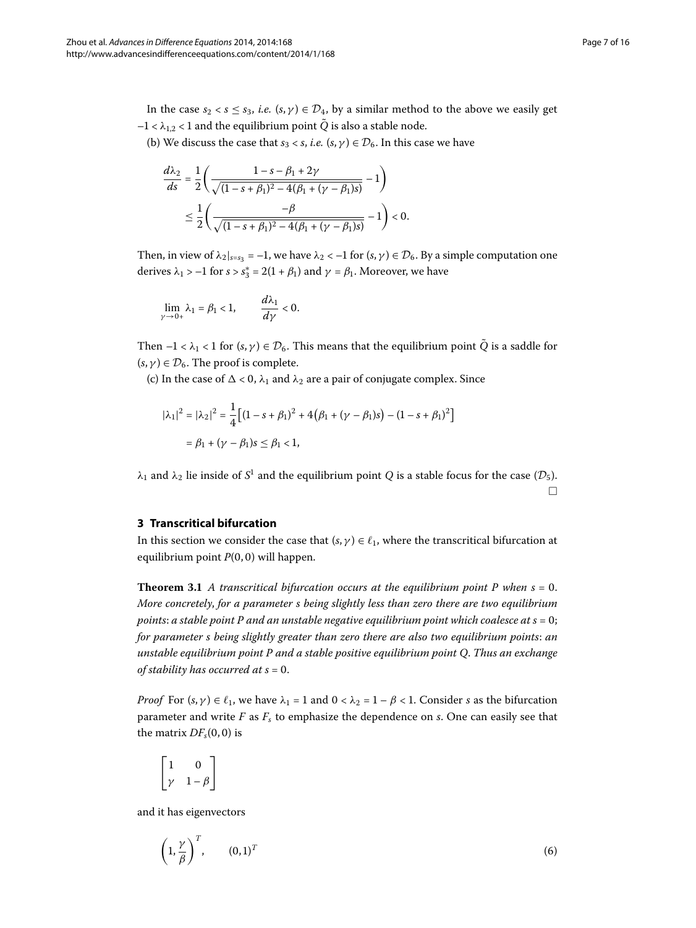In the case  $s_2 < s \leq s_3$ , *i.e.*  $(s, \gamma) \in \mathcal{D}_4$ , by a similar method to the above we easily get  $-1 < \lambda_{1,2} < 1$  and the equilibrium point  $\tilde{Q}$  is also a stable node.

(b) We discuss the case that  $s_3 < s$ , *i.e.*  $(s, \gamma) \in \mathcal{D}_6$ . In this case we have

$$
\frac{d\lambda_2}{ds} = \frac{1}{2} \left( \frac{1 - s - \beta_1 + 2\gamma}{\sqrt{(1 - s + \beta_1)^2 - 4(\beta_1 + (\gamma - \beta_1)s)}} - 1 \right)
$$

$$
\leq \frac{1}{2} \left( \frac{-\beta}{\sqrt{(1 - s + \beta_1)^2 - 4(\beta_1 + (\gamma - \beta_1)s)}} - 1 \right) < 0.
$$

Then, in view of  $\lambda_2|_{s=s_3} = -1$ , we have  $\lambda_2 < -1$  for  $(s, \gamma) \in \mathcal{D}_6$ . By a simple computation one derives  $\lambda_1 > -1$  for  $s > s_3^* = 2(1 + \beta_1)$  and  $\gamma = \beta_1$ . Moreover, we have

$$
\lim_{\gamma \to 0+} \lambda_1 = \beta_1 < 1, \qquad \frac{d\lambda_1}{d\gamma} < 0.
$$

Then  $-1 < \lambda_1 < 1$  for  $(s, \gamma) \in \mathcal{D}_6$ . This means that the equilibrium point  $\tilde{Q}$  is a saddle for  $(s, \gamma) \in \mathcal{D}_6$ . The proof is complete.

(c) In the case of  $\Delta < 0$ ,  $\lambda_1$  and  $\lambda_2$  are a pair of conjugate complex. Since

$$
|\lambda_1|^2 = |\lambda_2|^2 = \frac{1}{4} \Big[ (1 - s + \beta_1)^2 + 4(\beta_1 + (\gamma - \beta_1)s) - (1 - s + \beta_1)^2 \Big]
$$
  
=  $\beta_1 + (\gamma - \beta_1)s \le \beta_1 < 1$ ,

<span id="page-6-1"></span><span id="page-6-0"></span> $λ_1$  and  $λ_2$  lie inside of *S*<sup>1</sup> and the equilibrium point *Q* is a stable focus for the case ( $\mathcal{D}_5$ ).  $\Box$ 

#### **3 Transcritical bifurcation**

In this section we consider the case that  $(s, \gamma) \in \ell_1$ , where the transcritical bifurcation at equilibrium point  $P(0, 0)$  will happen.

**Theorem 3.1** A transcritical bifurcation occurs at the equilibrium point P when  $s = 0$ . *More concretely*, *for a parameter s being slightly less than zero there are two equilibrium points: a stable point P and an unstable negative equilibrium point which coalesce at*  $s = 0$ *; for parameter s being slightly greater than zero there are also two equilibrium points*: *an unstable equilibrium point P and a stable positive equilibrium point Q*. *Thus an exchange of stability has occurred at s = 0.* 

*Proof* For  $(s, \gamma) \in \ell_1$ , we have  $\lambda_1 = 1$  and  $0 < \lambda_2 = 1 - \beta < 1$ . Consider *s* as the bifurcation parameter and write *F* as *Fs* to emphasize the dependence on *s*. One can easily see that the matrix  $DF<sub>s</sub>(0, 0)$  is

<span id="page-6-2"></span>
$$
\begin{bmatrix} 1 & 0 \\ \gamma & 1 - \beta \end{bmatrix}
$$

and it has eigenvectors

$$
\left(1, \frac{\gamma}{\beta}\right)^T, \qquad (0,1)^T \tag{6}
$$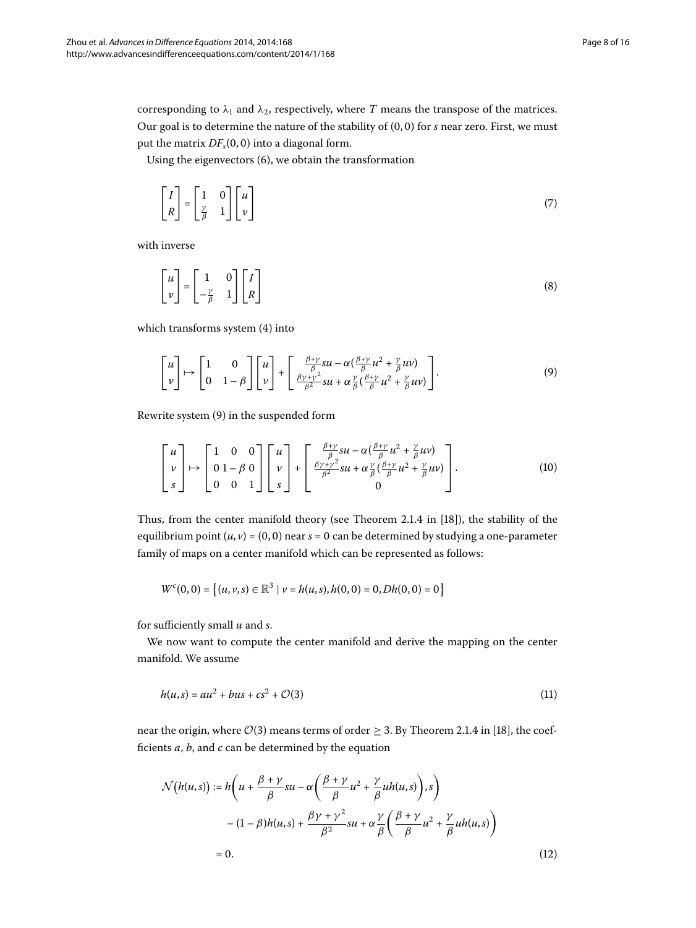corresponding to  $\lambda_1$  and  $\lambda_2$ , respectively, where *T* means the transpose of the matrices. Our goal is to determine the nature of the stability of  $(0, 0)$  for  $s$  near zero. First, we must put the matrix  $DF<sub>s</sub>(0, 0)$  into a diagonal form.

Using the eigenvectors  $(6)$  $(6)$ , we obtain the transformation

$$
\begin{bmatrix} I \\ R \end{bmatrix} = \begin{bmatrix} 1 & 0 \\ \frac{\gamma}{\beta} & 1 \end{bmatrix} \begin{bmatrix} u \\ v \end{bmatrix}
$$
 (7)

with inverse

<span id="page-7-0"></span>
$$
\begin{bmatrix} u \\ v \end{bmatrix} = \begin{bmatrix} 1 & 0 \\ -\frac{\gamma}{\beta} & 1 \end{bmatrix} \begin{bmatrix} I \\ R \end{bmatrix}
$$
 (8)

which transforms system (4) into

<span id="page-7-3"></span>
$$
\begin{bmatrix} u \\ v \end{bmatrix} \mapsto \begin{bmatrix} 1 & 0 \\ 0 & 1 - \beta \end{bmatrix} \begin{bmatrix} u \\ v \end{bmatrix} + \begin{bmatrix} \frac{\beta + \gamma}{\beta} 8u - \alpha(\frac{\beta + \gamma}{\beta} u^2 + \frac{\gamma}{\beta} uv) \\ \frac{\beta \gamma + \gamma^2}{\beta^2} 8u + \alpha \frac{\gamma}{\beta} (\frac{\beta + \gamma}{\beta} u^2 + \frac{\gamma}{\beta} uv) \end{bmatrix}.
$$
 (9)

Rewrite system [\(](#page-7-0)9) in the suspended form

$$
\begin{bmatrix} u \\ v \\ s \end{bmatrix} \mapsto \begin{bmatrix} 1 & 0 & 0 \\ 0 & 1 - \beta & 0 \\ 0 & 0 & 1 \end{bmatrix} \begin{bmatrix} u \\ v \\ s \end{bmatrix} + \begin{bmatrix} \frac{\beta + \gamma}{\beta}su - \alpha(\frac{\beta + \gamma}{\beta}u^2 + \frac{\gamma}{\beta}uv) \\ \frac{\beta \gamma + \gamma^2}{\beta^2}su + \alpha\frac{\gamma}{\beta}(\frac{\beta + \gamma}{\beta}u^2 + \frac{\gamma}{\beta}uv) \\ 0 \end{bmatrix}.
$$
 (10)

Thus, from the center manifold theory (see Theorem 2.1.4 in [\[](#page-15-11)18]), the stability of the equilibrium point  $(u, v) = (0, 0)$  near  $s = 0$  can be determined by studying a one-parameter family of maps on a center manifold which can be represented as follows:

<span id="page-7-1"></span>
$$
W^c(0,0) = \left\{(u,v,s) \in \mathbb{R}^3 \mid v = h(u,s), h(0,0) = 0, Dh(0,0) = 0\right\}
$$

for sufficiently small *u* and *s*.

We now want to compute the center manifold and derive the mapping on the center manifold. We assume

$$
h(u,s) = au^2 + bus + cs^2 + O(3)
$$
 (11)

near the origin, where  $O(3)$  means terms of order  $\geq 3$ . By Theorem 2.1.4 in [18], the coefficients *a*, *b*, and *c* can be determined by the equation

<span id="page-7-2"></span>
$$
\mathcal{N}(h(u,s)) := h\left(u + \frac{\beta + \gamma}{\beta}su - \alpha\left(\frac{\beta + \gamma}{\beta}u^2 + \frac{\gamma}{\beta}uh(u,s)\right), s\right) - (1 - \beta)h(u,s) + \frac{\beta\gamma + \gamma^2}{\beta^2}su + \alpha\frac{\gamma}{\beta}\left(\frac{\beta + \gamma}{\beta}u^2 + \frac{\gamma}{\beta}uh(u,s)\right) = 0.
$$
 (12)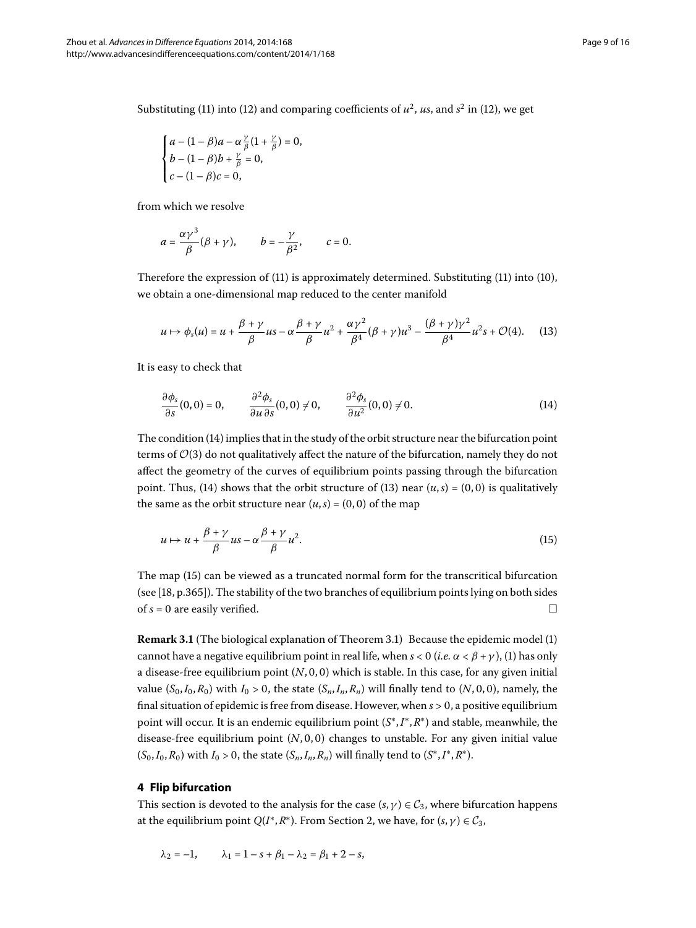Substituting (11[\)](#page-7-1) into [\(](#page-7-2)12) and comparing coefficients of  $u^2$ ,  $us$ , and  $s^2$  in (12), we get

$$
\begin{cases} a - (1 - \beta)a - \alpha \frac{\gamma}{\beta} (1 + \frac{\gamma}{\beta}) = 0, \\ b - (1 - \beta)b + \frac{\gamma}{\beta} = 0, \\ c - (1 - \beta)c = 0, \end{cases}
$$

from which we resolve

<span id="page-8-2"></span>
$$
a=\frac{\alpha\gamma^3}{\beta}(\beta+\gamma), \qquad b=-\frac{\gamma}{\beta^2}, \qquad c=0.
$$

Therefore the expression of  $(11)$  $(11)$  is approximately determined. Substituting  $(11)$  into  $(10)$ , we obtain a one-dimensional map reduced to the center manifold

<span id="page-8-1"></span>
$$
u \mapsto \phi_s(u) = u + \frac{\beta + \gamma}{\beta}us - \alpha \frac{\beta + \gamma}{\beta} u^2 + \frac{\alpha \gamma^2}{\beta^4} (\beta + \gamma) u^3 - \frac{(\beta + \gamma) \gamma^2}{\beta^4} u^2 s + \mathcal{O}(4). \tag{13}
$$

It is easy to check that

<span id="page-8-3"></span>
$$
\frac{\partial \phi_s}{\partial s}(0,0) = 0, \qquad \frac{\partial^2 \phi_s}{\partial u \partial s}(0,0) \neq 0, \qquad \frac{\partial^2 \phi_s}{\partial u^2}(0,0) \neq 0.
$$
 (14)

The condition  $(14)$  $(14)$  implies that in the study of the orbit structure near the bifurcation point terms of  $\mathcal{O}(3)$  do not qualitatively affect the nature of the bifurcation, namely they do not affect the geometry of the curves of equilibrium points passing through the bifurcation point. Thus, (14[\)](#page-8-2) shows that the orbit structure of (13) near  $(u, s) = (0, 0)$  is qualitatively the same as the orbit structure near  $(u, s) = (0, 0)$  of the map

$$
u \mapsto u + \frac{\beta + \gamma}{\beta} u s - \alpha \frac{\beta + \gamma}{\beta} u^2. \tag{15}
$$

The map [\(](#page-8-3)15) can be viewed as a truncated normal form for the transcritical bifurcation (see  $[18, p.365]$  $[18, p.365]$ ). The stability of the two branches of equilibrium points lying on both sides of  $s = 0$  are easily verified.  $\Box$ 

<span id="page-8-0"></span>**Remark 3.1** (The biological explanation of Theorem 3.1) Because the epidemic model (1) cannot have a negative equilibrium point in real life, when  $s < 0$  (*i.e.*  $\alpha < \beta + \gamma$ ), (1) has only a disease-free equilibrium point  $(N, 0, 0)$  which is stable. In this case, for any given initial value  $(S_0, I_0, R_0)$  with  $I_0 > 0$ , the state  $(S_n, I_n, R_n)$  will finally tend to  $(N, 0, 0)$ , namely, the final situation of epidemic is free from disease. However, when  $s > 0$ , a positive equilibrium point will occur. It is an endemic equilibrium point (*S*∗,*I*∗,*R*∗) and stable, meanwhile, the disease-free equilibrium point  $(N, 0, 0)$  changes to unstable. For any given initial value  $(S_0, I_0, R_0)$  with  $I_0 > 0$ , the state  $(S_n, I_n, R_n)$  will finally tend to  $(S^*, I^*, R^*)$ .

## **4 Flip bifurcation**

This section is devoted to the analysis for the case ( $s, \gamma$ )  $\in C_3$ , where bifurcation happens at the equilibrium point *Q*(*I*<sup>\*</sup>[,](#page-3-1)*R*<sup>\*</sup>). From Section 2, we have, for  $(s, \gamma) \in C_3$ ,

$$
\lambda_2 = -1,
$$
\n $\lambda_1 = 1 - s + \beta_1 - \lambda_2 = \beta_1 + 2 - s,$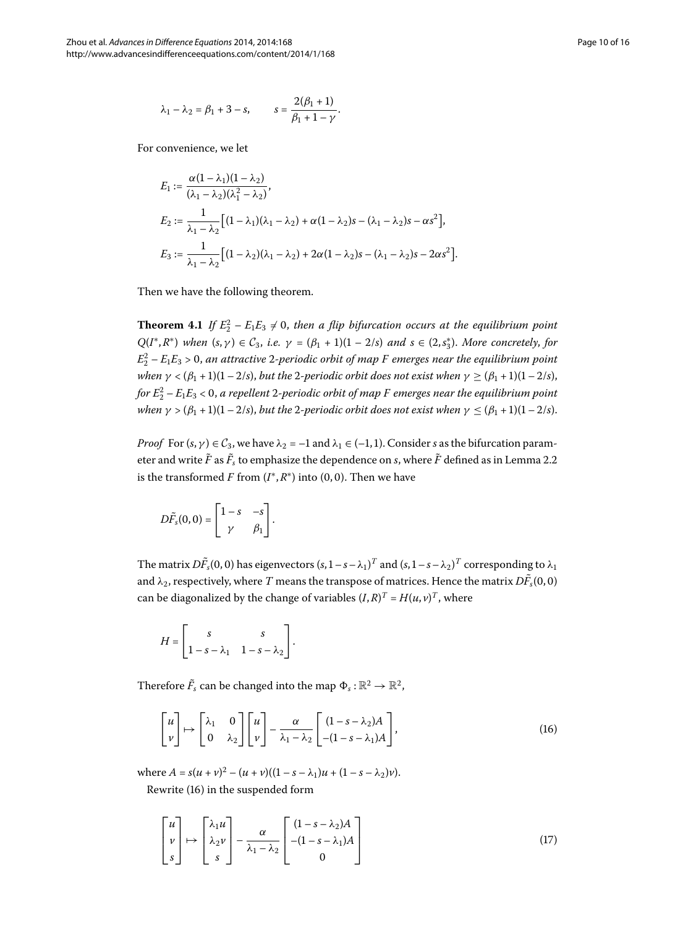$$
\lambda_1 - \lambda_2 = \beta_1 + 3 - s,
$$
\n $s = \frac{2(\beta_1 + 1)}{\beta_1 + 1 - \gamma}.$ 

For convenience, we let

<span id="page-9-0"></span>
$$
E_1 := \frac{\alpha(1-\lambda_1)(1-\lambda_2)}{(\lambda_1-\lambda_2)(\lambda_1^2-\lambda_2)},
$$
  
\n
$$
E_2 := \frac{1}{\lambda_1-\lambda_2} \Big[ (1-\lambda_1)(\lambda_1-\lambda_2) + \alpha(1-\lambda_2)s - (\lambda_1-\lambda_2)s - \alpha s^2 \Big],
$$
  
\n
$$
E_3 := \frac{1}{\lambda_1-\lambda_2} \Big[ (1-\lambda_2)(\lambda_1-\lambda_2) + 2\alpha(1-\lambda_2)s - (\lambda_1-\lambda_2)s - 2\alpha s^2 \Big].
$$

Then we have the following theorem.

**Theorem 4.1** If  $E_2^2 - E_1E_3 \neq 0$ , then a flip bifurcation occurs at the equilibrium point  $Q(I^*, R^*)$  when  $(s, \gamma) \in C_3$ , *i.e.*  $\gamma = (\beta_1 + 1)(1 - 2/s)$  and  $s \in (2, s_3^*)$ . More concretely, for  $E_2^2$  –  $E_1E_3$  > 0, an attractive 2-periodic orbit of map F emerges near the equilibrium point *when*  $\gamma$  < ( $\beta_1$  + 1)(1 – 2/*s*), *but the* 2-periodic orbit does not exist when  $\gamma$  > ( $\beta_1$  + 1)(1 – 2/*s*), *for E* – *EE* < , *a repellent -periodic orbit of map F emerges near the equilibrium point when*  $\gamma$  > ( $\beta_1$  + 1)(1 – 2/*s*), *but the* 2-periodic orbit does not exist when  $\gamma \leq (\beta_1 + 1)(1 - 2/s)$ .

*Proof* For  $(s, \gamma) \in C_3$ , we have  $\lambda_2 = -1$  and  $\lambda_1 \in (-1, 1)$ . Consider *s* as the bifurcation parameter and write  $F$  as  $F_s$  to emphasize the dependence on  $s$ , where  $F$  defined as in Lemma 2[.](#page-4-1)2  $\,$ is the transformed *F* from  $(I^*, R^*)$  into  $(0, 0)$ . Then we have

$$
D\tilde{F}_s(0,0) = \begin{bmatrix} 1-s & -s \\ \gamma & \beta_1 \end{bmatrix}.
$$

The matrix  $D\tilde{F}_s(0,0)$  has eigenvectors  $(s,1-s-\lambda_1)^T$  and  $(s,1-s-\lambda_2)^T$  corresponding to  $\lambda_1$ and  $\lambda_2$ , respectively, where  $T$  means the transpose of matrices. Hence the matrix  $DF_s(0,0)$ can be diagonalized by the change of variables  $(I, R)^T = H(u, v)^T$ , where

<span id="page-9-1"></span>
$$
H = \begin{bmatrix} s & s \\ 1 - s - \lambda_1 & 1 - s - \lambda_2 \end{bmatrix}.
$$

Therefore  $\tilde{F}_s$  can be changed into the map  $\Phi_s : \mathbb{R}^2 \to \mathbb{R}^2$ ,

<span id="page-9-2"></span>
$$
\begin{bmatrix} u \\ v \end{bmatrix} \mapsto \begin{bmatrix} \lambda_1 & 0 \\ 0 & \lambda_2 \end{bmatrix} \begin{bmatrix} u \\ v \end{bmatrix} - \frac{\alpha}{\lambda_1 - \lambda_2} \begin{bmatrix} (1 - s - \lambda_2) A \\ -(1 - s - \lambda_1) A \end{bmatrix},
$$
(16)

where  $A = s(u + v)^2 - (u + v)((1 - s - \lambda_1)u + (1 - s - \lambda_2)v)$ . Rewrite (16[\)](#page-9-1) in the suspended form

$$
\begin{bmatrix} u \\ v \\ s \end{bmatrix} \mapsto \begin{bmatrix} \lambda_1 u \\ \lambda_2 v \\ s \end{bmatrix} - \frac{\alpha}{\lambda_1 - \lambda_2} \begin{bmatrix} (1 - s - \lambda_2) A \\ -(1 - s - \lambda_1) A \\ 0 \end{bmatrix}
$$
 (17)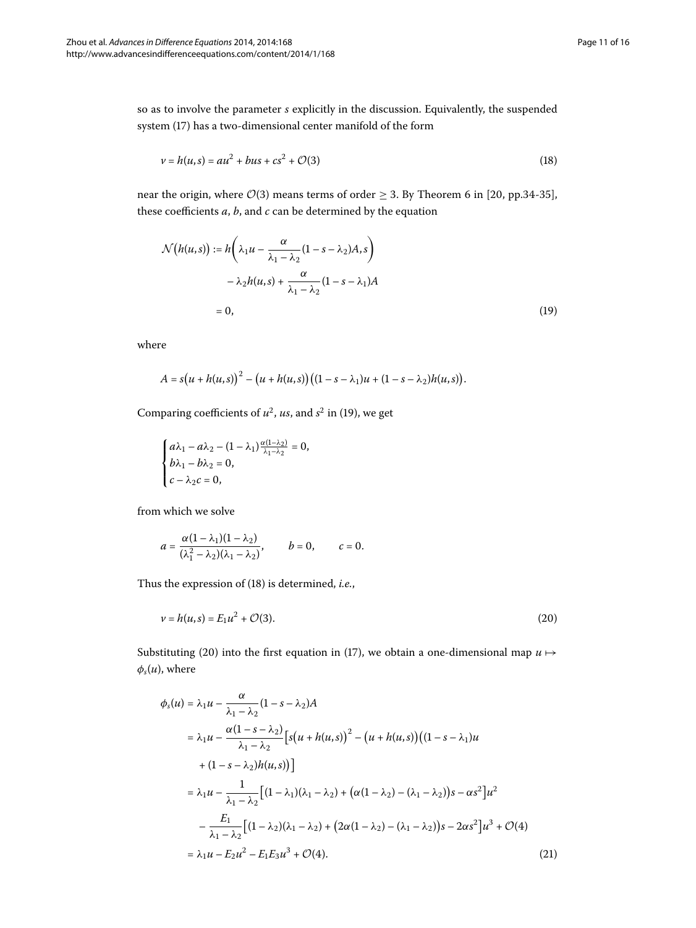so as to involve the parameter *s* explicitly in the discussion. Equivalently, the suspended system (17) has a two-dimensional center manifold of the form

<span id="page-10-1"></span>
$$
v = h(u, s) = au^2 + bus + cs^2 + O(3)
$$
\n(18)

near the origin, where  $\mathcal{O}(3)$  means terms of order  $\geq 3$ . By Theorem 6 in [20, pp.34-35], these coefficients *a*, *b*, and *c* can be determined by the equation

<span id="page-10-0"></span>
$$
\mathcal{N}(h(u,s)) := h\left(\lambda_1 u - \frac{\alpha}{\lambda_1 - \lambda_2} (1 - s - \lambda_2) A, s\right)
$$

$$
- \lambda_2 h(u,s) + \frac{\alpha}{\lambda_1 - \lambda_2} (1 - s - \lambda_1) A
$$

$$
= 0, \tag{19}
$$

where

$$
A = s(u + h(u, s))^{2} - (u + h(u, s))((1 - s - \lambda_{1})u + (1 - s - \lambda_{2})h(u, s)).
$$

Comparing coefficients of  $u^2$ , us, and  $s^2$  in (19[\)](#page-10-0), we get

$$
\begin{cases}\n a\lambda_1 - a\lambda_2 - (1 - \lambda_1) \frac{\alpha(1 - \lambda_2)}{\lambda_1 - \lambda_2} = 0, \\
 b\lambda_1 - b\lambda_2 = 0, \\
 c - \lambda_2 c = 0,\n\end{cases}
$$

from which we solve

<span id="page-10-2"></span>
$$
a=\frac{\alpha(1-\lambda_1)(1-\lambda_2)}{(\lambda_1^2-\lambda_2)(\lambda_1-\lambda_2)}, \qquad b=0, \qquad c=0.
$$

<span id="page-10-3"></span>Thus the expression of (18) is determined, *i.e.*,

$$
\nu = h(u, s) = E_1 u^2 + \mathcal{O}(3). \tag{20}
$$

Substituting (20[\)](#page-9-2) into the first equation in (17), we obtain a one-dimensional map  $u \mapsto$  $\phi_s(u)$ , where

$$
\phi_{s}(u) = \lambda_{1}u - \frac{\alpha}{\lambda_{1} - \lambda_{2}}(1 - s - \lambda_{2})A
$$
\n
$$
= \lambda_{1}u - \frac{\alpha(1 - s - \lambda_{2})}{\lambda_{1} - \lambda_{2}} [s(u + h(u, s))^{2} - (u + h(u, s))((1 - s - \lambda_{1})u + (1 - s - \lambda_{2})h(u, s))]
$$
\n
$$
= \lambda_{1}u - \frac{1}{\lambda_{1} - \lambda_{2}} [(1 - \lambda_{1})(\lambda_{1} - \lambda_{2}) + (\alpha(1 - \lambda_{2}) - (\lambda_{1} - \lambda_{2}))s - \alpha s^{2}]u^{2}
$$
\n
$$
- \frac{E_{1}}{\lambda_{1} - \lambda_{2}} [(1 - \lambda_{2})(\lambda_{1} - \lambda_{2}) + (2\alpha(1 - \lambda_{2}) - (\lambda_{1} - \lambda_{2}))s - 2\alpha s^{2}]u^{3} + \mathcal{O}(4)
$$
\n
$$
= \lambda_{1}u - E_{2}u^{2} - E_{1}E_{3}u^{3} + \mathcal{O}(4). \tag{21}
$$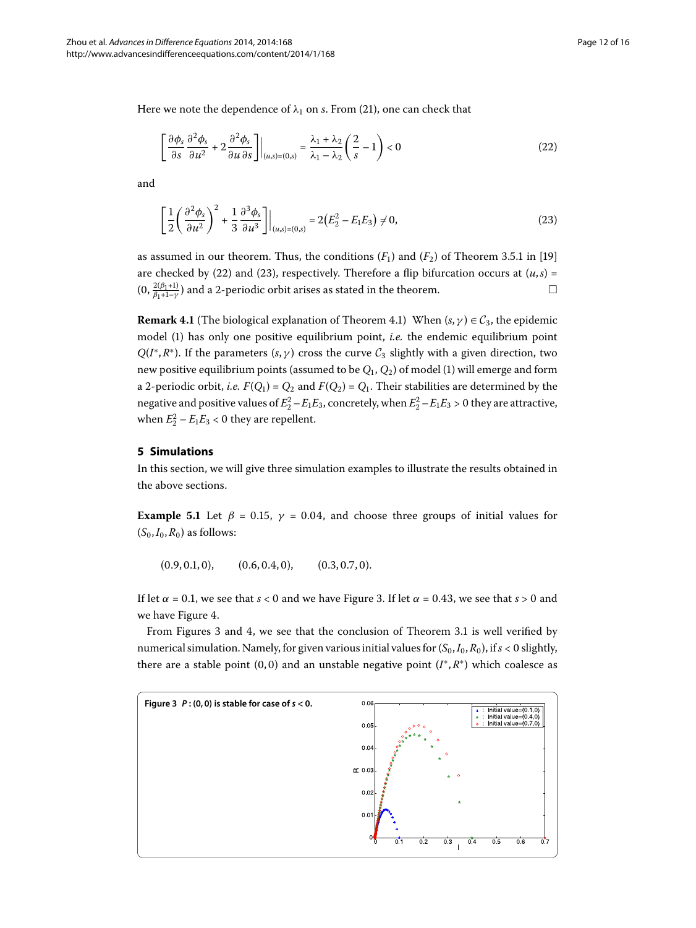Here we note the dependence of  $\lambda_1$  on *s*. From (21[\)](#page-10-3), one can check that

<span id="page-11-2"></span><span id="page-11-1"></span>
$$
\left[\frac{\partial \phi_s}{\partial s} \frac{\partial^2 \phi_s}{\partial u^2} + 2 \frac{\partial^2 \phi_s}{\partial u \partial s}\right] \bigg|_{(u,s)=(0,s)} = \frac{\lambda_1 + \lambda_2}{\lambda_1 - \lambda_2} \left(\frac{2}{s} - 1\right) < 0 \tag{22}
$$

and

$$
\left[\frac{1}{2}\left(\frac{\partial^2 \phi_s}{\partial u^2}\right)^2 + \frac{1}{3}\frac{\partial^3 \phi_s}{\partial u^3}\right]\Big|_{(u,s)=(0,s)} = 2\left(E_2^2 - E_1 E_3\right) \neq 0,\tag{23}
$$

as assumed in our theorem. Thus, the conditions  $(F_1)$  and  $(F_2)$  of Theorem 3.5.1 in [19] are checked by [\(](#page-11-1)22[\)](#page-11-2) and (23), respectively. Therefore a flip bifurcation occurs at  $(u, s)$  =  $(0, \frac{2(\beta_1+1)}{\beta_1+1-\gamma})$  and a 2-periodic orbit arises as stated in the theorem.

<span id="page-11-0"></span>**Remark 4.1** (The biological explanation of Theorem 4.1) When  $(s, \gamma) \in C_3$ , the epidemic model [\(](#page-1-0)) has only one positive equilibrium point, *i.e.* the endemic equilibrium point  $Q(I^*, R^*)$ . If the parameters  $(s, \gamma)$  cross the curve  $C_3$  slightly with a given direction, two new positive equilibrium points (assumed to be  $Q_1$ ,  $Q_2$ ) of model (1) will emerge and form a 2-periodic orbit, *i.e.*  $F(Q_1) = Q_2$  and  $F(Q_2) = Q_1$ . Their stabilities are determined by the negative and positive values of  $E_2^2 - E_1 E_3$ , concretely, when  $E_2^2 - E_1 E_3 > 0$  they are attractive, when  $E_2^2 - E_1 E_3 < 0$  they are repellent.

#### **5 Simulations**

In this section, we will give three simulation examples to illustrate the results obtained in the above sections.

**Example 5.1** Let  $\beta = 0.15$ ,  $\gamma = 0.04$ , and choose three groups of initial values for  $(S_0, I_0, R_0)$  as follows:

 $(0.9, 0.1, 0),$   $(0.6, 0.4, 0),$   $(0.3, 0.7, 0).$ 

If let  $\alpha = 0.1$ , we see that  $s < 0$  and we have Figure 3. If let  $\alpha = 0.43$ , we see that  $s > 0$  and we have Figure 4[.](#page-12-0)

<span id="page-11-3"></span>From Figures 3 and 4, we see that the conclusion of Theorem 3[.](#page-6-0)1 is well verified by numerical simulation. Namely, for given various initial values for  $(S_0, I_0, R_0)$ , if  $s < 0$  slightly, there are a stable point (0,0) and an unstable negative point  $(I^*, R^*)$  which coalesce as

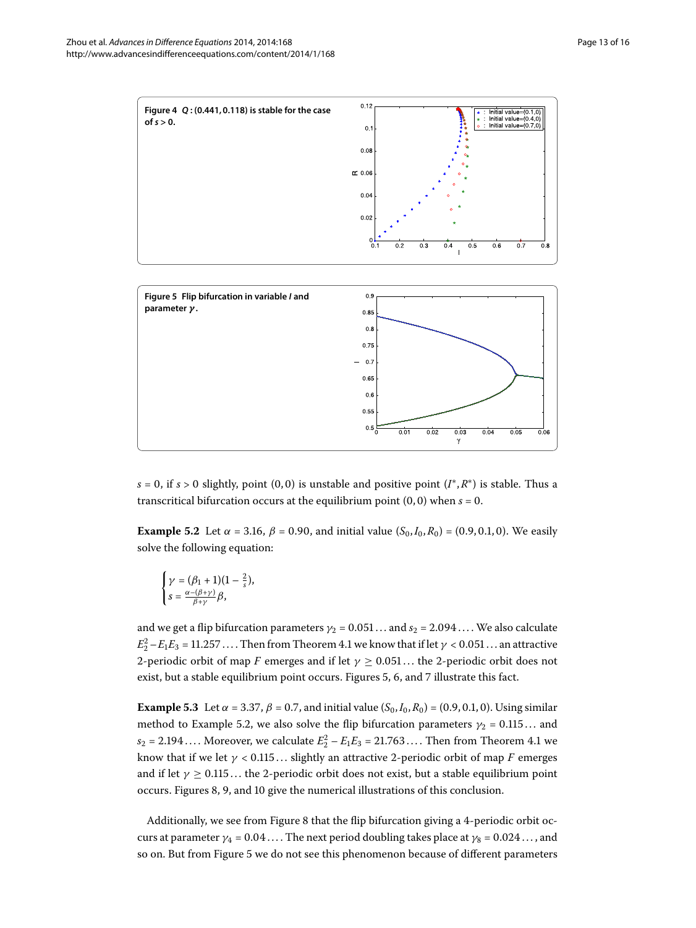

<span id="page-12-2"></span>

<span id="page-12-0"></span> $0.6$  $0.5$  $0.5$ 

<span id="page-12-1"></span> $0.03$  $\gamma$ 

**Example 5.2** Let  $\alpha = 3.16$ ,  $\beta = 0.90$ , and initial value  $(S_0, I_0, R_0) = (0.9, 0.1, 0)$ . We easily solve the following equation:

$$
\begin{cases} \gamma = (\beta_1 + 1)(1 - \frac{2}{s}), \\ s = \frac{\alpha - (\beta + \gamma)}{\beta + \gamma} \beta, \end{cases}
$$

<span id="page-12-3"></span>and we get a flip bifurcation parameters  $\gamma_2 = 0.051...$  and  $s_2 = 2.094...$  We also calculate  $E_2^2 - E_1 E_3 = 11.257 \dots$  $E_2^2 - E_1 E_3 = 11.257 \dots$  $E_2^2 - E_1 E_3 = 11.257 \dots$ . Then from Theorem 4.1 we know that if let  $\gamma < 0.051 \dots$  an attractive 2-periodic orbit of map *F* emerges and if let  $\gamma \geq 0.051...$  the 2-periodic orbit does not exist, but a stable equilibrium point occurs. Figures 5, 6, and 7 illustrate this fact.

**Example 5.3** Let  $\alpha = 3.37$ ,  $\beta = 0.7$ , and initial value ( $S_0$ ,  $I_0$ ,  $R_0$ ) = (0.9, 0.1, 0). Using similar method to Example 5.2, we also solve the flip bifurcation parameters  $\gamma_2 = 0.115...$  and  $s_2 = 2.194...$  $s_2 = 2.194...$  $s_2 = 2.194...$  Moreover, we calculate  $E_2^2 - E_1 E_3 = 21.763...$  Then from Theorem 4.1 we know that if we let  $\gamma$  < 0.115... slightly an attractive 2-periodic orbit of map *F* emerges and if let  $\gamma \geq 0.115...$  the 2-periodic orbit does not exist, but a stable equilibrium point occurs. Figures 8[,](#page-14-2) 9, and 10 give the numerical illustrations of this conclusion.

Additionally, we see from Figure 8 that the flip bifurcation giving a 4-periodic orbit occurs at parameter  $\gamma_4 = 0.04$ .... The next period doubling takes place at  $\gamma_8 = 0.024$ ..., and so on. But from Figure 5 we do not see this phenomenon because of different parameters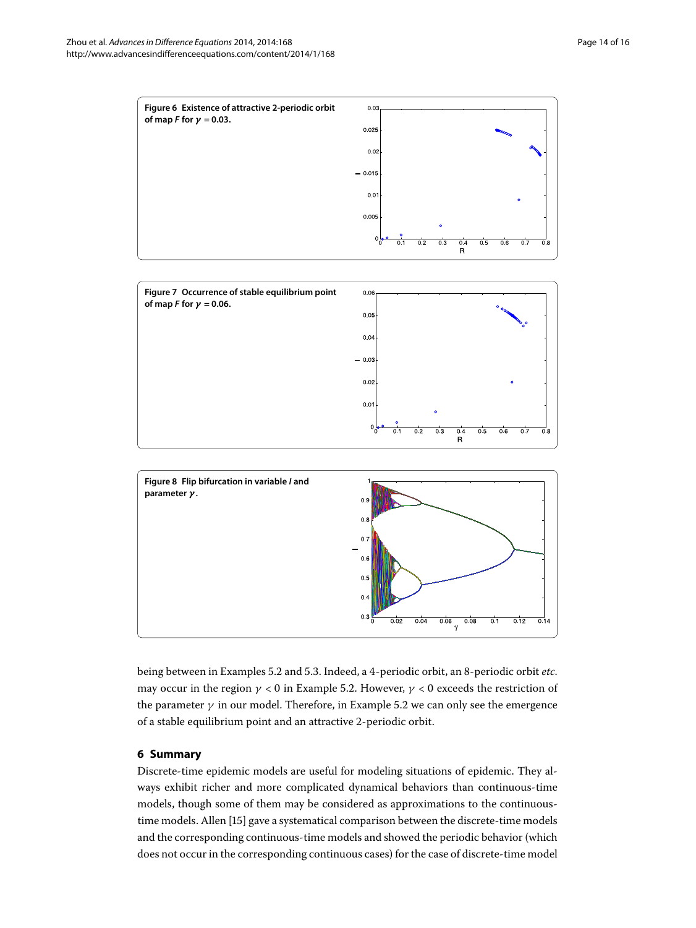<span id="page-13-0"></span>

<span id="page-13-1"></span>

<span id="page-13-2"></span>

being between in Examples 5[.](#page-12-2)2 and 5.3. Indeed, a 4-periodic orbit, an 8-periodic orbit *etc*. may occur in the region  $\gamma$  < 0 in Example 5.2. However,  $\gamma$  < 0 exceeds the restriction of the parameter  $\gamma$  in our model[.](#page-12-2) Therefore, in Example 5.2 we can only see the emergence of a stable equilibrium point and an attractive 2-periodic orbit.

## **6 Summary**

Discrete-time epidemic models are useful for modeling situations of epidemic. They always exhibit richer and more complicated dynamical behaviors than continuous-time models, though some of them may be considered as approximations to the continuous-time models. Allen [15[\]](#page-15-7) gave a systematical comparison between the discrete-time models and the corresponding continuous-time models and showed the periodic behavior (which does not occur in the corresponding continuous cases) for the case of discrete-time model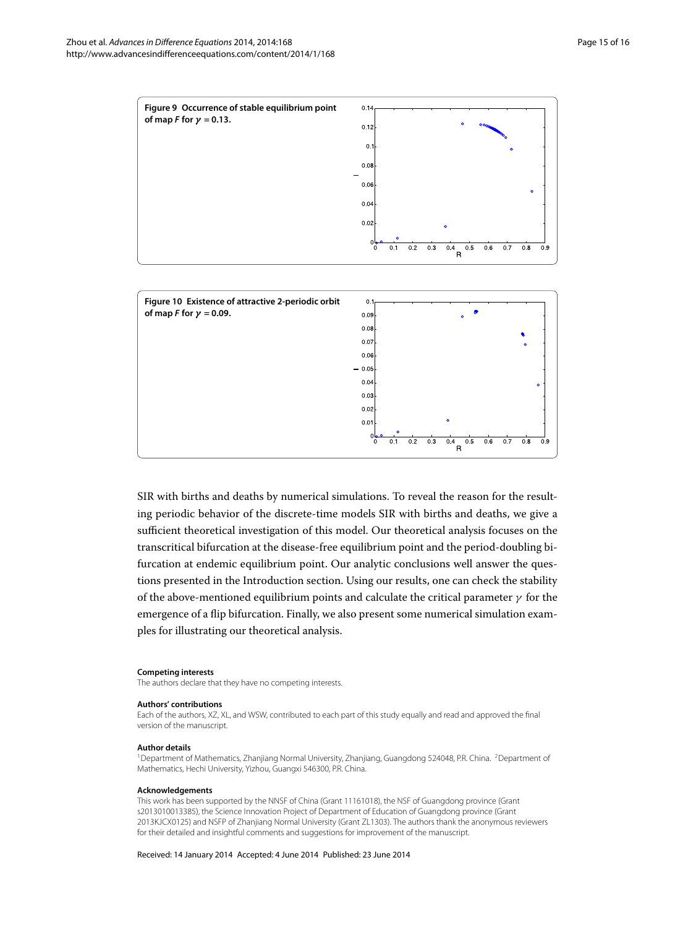

SIR with births and deaths by numerical simulations. To reveal the reason for the resulting periodic behavior of the discrete-time models SIR with births and deaths, we give a sufficient theoretical investigation of this model. Our theoretical analysis focuses on the transcritical bifurcation at the disease-free equilibrium point and the period-doubling bifurcation at endemic equilibrium point. Our analytic conclusions well answer the questions presented in the Introduction section. Using our results, one can check the stability of the above-mentioned equilibrium points and calculate the critical parameter *γ* for the emergence of a flip bifurcation. Finally, we also present some numerical simulation examples for illustrating our theoretical analysis.

<span id="page-14-2"></span> $0<sub>0</sub>$ 

 $\overline{0.1}$  $\overline{0.2}$  $\overline{0.3}$  $0.4$   $\overline{0.8}$ 

 $0.9$ 

<span id="page-14-3"></span> $0.5$  $0.6$  $0.7$ 

<span id="page-14-1"></span> $\overline{R}$ 

#### <span id="page-14-0"></span>**Competing interests**

The authors declare that they have no competing interests.

#### **Authors' contributions**

Each of the authors, XZ, XL, and WSW, contributed to each part of this study equally and read and approved the final version of the manuscript.

#### **Author details**

<sup>1</sup>Department of Mathematics, Zhanjiang Normal University, Zhanjiang, Guangdong 524048, P.R. China. <sup>2</sup>Department of Mathematics, Hechi University, Yizhou, Guangxi 546300, P.R. China.

#### **Acknowledgements**

This work has been supported by the NNSF of China (Grant 11161018), the NSF of Guangdong province (Grant s2013010013385), the Science Innovation Project of Department of Education of Guangdong province (Grant 2013KJCX0125) and NSFP of Zhanjiang Normal University (Grant ZL1303). The authors thank the anonymous reviewers for their detailed and insightful comments and suggestions for improvement of the manuscript.

Received: 14 January 2014 Accepted: 4 June 2014 Published: 23 June 2014